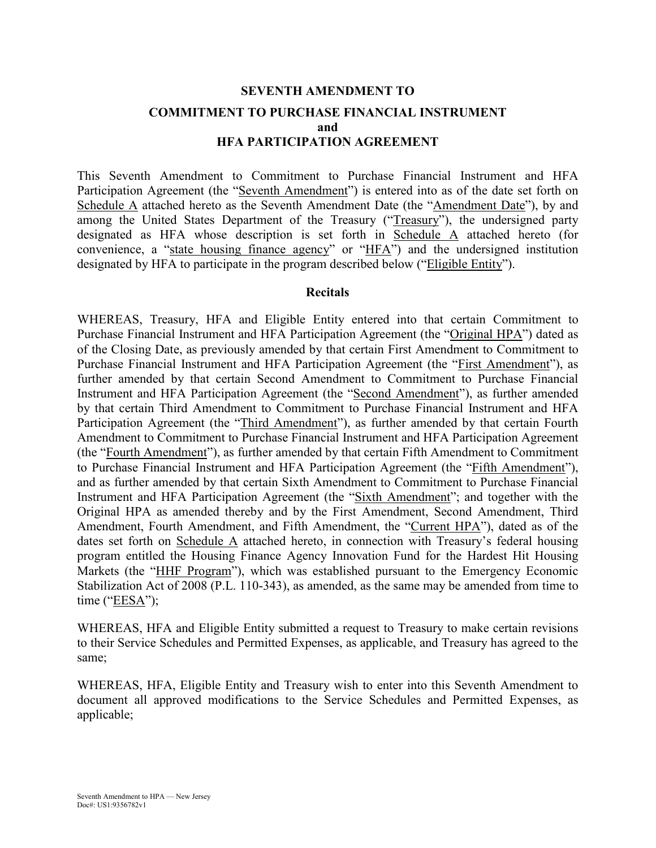# **SEVENTH AMENDMENT TO COMMITMENT TO PURCHASE FINANCIAL INSTRUMENT and HFA PARTICIPATION AGREEMENT**

This Seventh Amendment to Commitment to Purchase Financial Instrument and HFA Participation Agreement (the "Seventh Amendment") is entered into as of the date set forth on Schedule A attached hereto as the Seventh Amendment Date (the "Amendment Date"), by and among the United States Department of the Treasury ("Treasury"), the undersigned party designated as HFA whose description is set forth in Schedule A attached hereto (for convenience, a "state housing finance agency" or "HFA") and the undersigned institution designated by HFA to participate in the program described below ("Eligible Entity").

#### **Recitals**

WHEREAS, Treasury, HFA and Eligible Entity entered into that certain Commitment to Purchase Financial Instrument and HFA Participation Agreement (the "Original HPA") dated as of the Closing Date, as previously amended by that certain First Amendment to Commitment to Purchase Financial Instrument and HFA Participation Agreement (the "First Amendment"), as further amended by that certain Second Amendment to Commitment to Purchase Financial Instrument and HFA Participation Agreement (the "Second Amendment"), as further amended by that certain Third Amendment to Commitment to Purchase Financial Instrument and HFA Participation Agreement (the "Third Amendment"), as further amended by that certain Fourth Amendment to Commitment to Purchase Financial Instrument and HFA Participation Agreement (the "Fourth Amendment"), as further amended by that certain Fifth Amendment to Commitment to Purchase Financial Instrument and HFA Participation Agreement (the "Fifth Amendment"), and as further amended by that certain Sixth Amendment to Commitment to Purchase Financial Instrument and HFA Participation Agreement (the "Sixth Amendment"; and together with the Original HPA as amended thereby and by the First Amendment, Second Amendment, Third Amendment, Fourth Amendment, and Fifth Amendment, the "Current HPA"), dated as of the dates set forth on Schedule A attached hereto, in connection with Treasury's federal housing program entitled the Housing Finance Agency Innovation Fund for the Hardest Hit Housing Markets (the "HHF Program"), which was established pursuant to the Emergency Economic Stabilization Act of 2008 (P.L. 110-343), as amended, as the same may be amended from time to time ("EESA");

WHEREAS, HFA and Eligible Entity submitted a request to Treasury to make certain revisions to their Service Schedules and Permitted Expenses, as applicable, and Treasury has agreed to the same;

WHEREAS, HFA, Eligible Entity and Treasury wish to enter into this Seventh Amendment to document all approved modifications to the Service Schedules and Permitted Expenses, as applicable;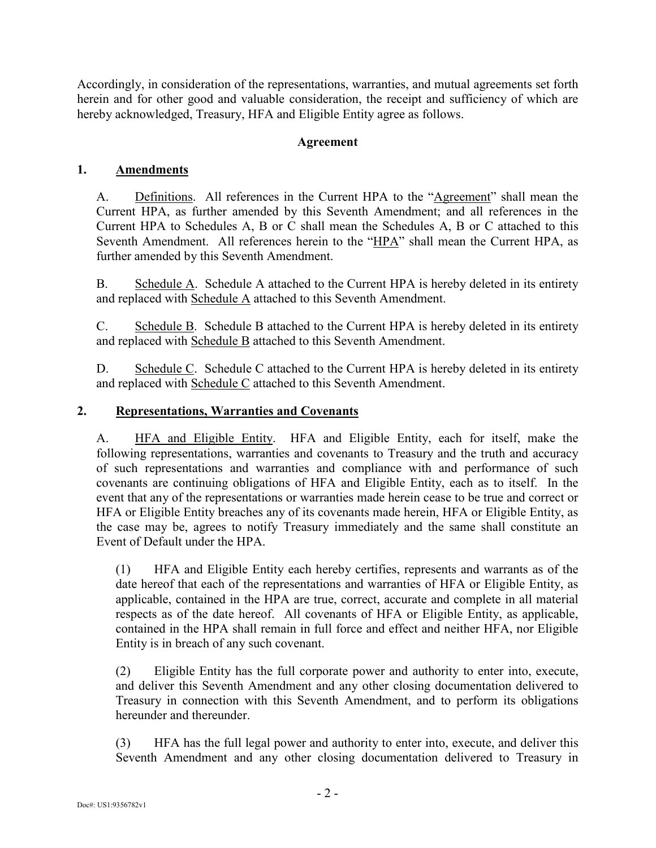Accordingly, in consideration of the representations, warranties, and mutual agreements set forth herein and for other good and valuable consideration, the receipt and sufficiency of which are hereby acknowledged, Treasury, HFA and Eligible Entity agree as follows.

## **Agreement**

## **1. Amendments**

A. Definitions. All references in the Current HPA to the "Agreement" shall mean the Current HPA, as further amended by this Seventh Amendment; and all references in the Current HPA to Schedules A, B or C shall mean the Schedules A, B or C attached to this Seventh Amendment. All references herein to the "HPA" shall mean the Current HPA, as further amended by this Seventh Amendment.

B. Schedule A. Schedule A attached to the Current HPA is hereby deleted in its entirety and replaced with Schedule A attached to this Seventh Amendment.

C. Schedule B. Schedule B attached to the Current HPA is hereby deleted in its entirety and replaced with Schedule B attached to this Seventh Amendment.

D. Schedule C. Schedule C attached to the Current HPA is hereby deleted in its entirety and replaced with Schedule C attached to this Seventh Amendment.

## **2. Representations, Warranties and Covenants**

A. HFA and Eligible Entity. HFA and Eligible Entity, each for itself, make the following representations, warranties and covenants to Treasury and the truth and accuracy of such representations and warranties and compliance with and performance of such covenants are continuing obligations of HFA and Eligible Entity, each as to itself. In the event that any of the representations or warranties made herein cease to be true and correct or HFA or Eligible Entity breaches any of its covenants made herein, HFA or Eligible Entity, as the case may be, agrees to notify Treasury immediately and the same shall constitute an Event of Default under the HPA.

(1) HFA and Eligible Entity each hereby certifies, represents and warrants as of the date hereof that each of the representations and warranties of HFA or Eligible Entity, as applicable, contained in the HPA are true, correct, accurate and complete in all material respects as of the date hereof. All covenants of HFA or Eligible Entity, as applicable, contained in the HPA shall remain in full force and effect and neither HFA, nor Eligible Entity is in breach of any such covenant.

(2) Eligible Entity has the full corporate power and authority to enter into, execute, and deliver this Seventh Amendment and any other closing documentation delivered to Treasury in connection with this Seventh Amendment, and to perform its obligations hereunder and thereunder

(3) HFA has the full legal power and authority to enter into, execute, and deliver this Seventh Amendment and any other closing documentation delivered to Treasury in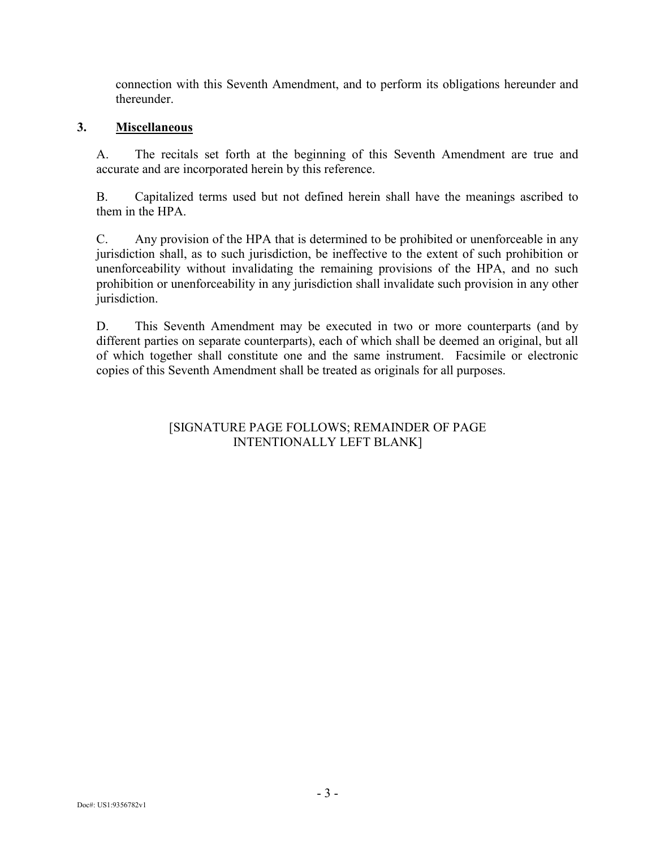connection with this Seventh Amendment, and to perform its obligations hereunder and thereunder.

## **3. Miscellaneous**

A. The recitals set forth at the beginning of this Seventh Amendment are true and accurate and are incorporated herein by this reference.

B. Capitalized terms used but not defined herein shall have the meanings ascribed to them in the HPA.

C. Any provision of the HPA that is determined to be prohibited or unenforceable in any jurisdiction shall, as to such jurisdiction, be ineffective to the extent of such prohibition or unenforceability without invalidating the remaining provisions of the HPA, and no such prohibition or unenforceability in any jurisdiction shall invalidate such provision in any other jurisdiction.

D. This Seventh Amendment may be executed in two or more counterparts (and by different parties on separate counterparts), each of which shall be deemed an original, but all of which together shall constitute one and the same instrument. Facsimile or electronic copies of this Seventh Amendment shall be treated as originals for all purposes.

## [SIGNATURE PAGE FOLLOWS; REMAINDER OF PAGE INTENTIONALLY LEFT BLANK]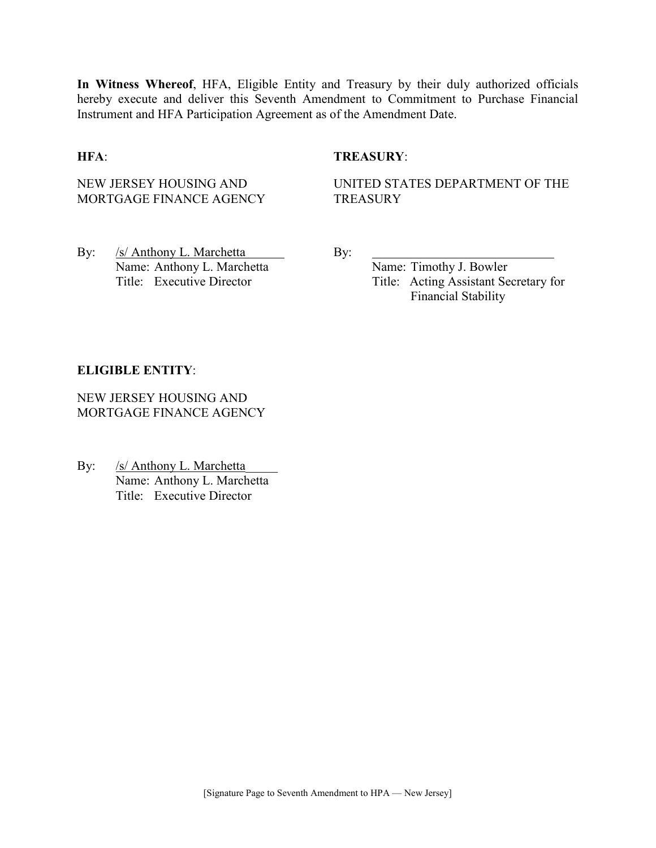**In Witness Whereof**, HFA, Eligible Entity and Treasury by their duly authorized officials hereby execute and deliver this Seventh Amendment to Commitment to Purchase Financial Instrument and HFA Participation Agreement as of the Amendment Date.

### **HFA**: **TREASURY**:

NEW JERSEY HOUSING AND MORTGAGE FINANCE AGENCY UNITED STATES DEPARTMENT OF THE **TREASURY** 

By: /s/ Anthony L. Marchetta By: Name: Anthony L. Marchetta Name: Timothy J. Bowler

Title: Executive Director Title: Acting Assistant Secretary for Financial Stability

#### **ELIGIBLE ENTITY**:

NEW JERSEY HOUSING AND MORTGAGE FINANCE AGENCY

By: /s/ Anthony L. Marchetta Name: Anthony L. Marchetta Title: Executive Director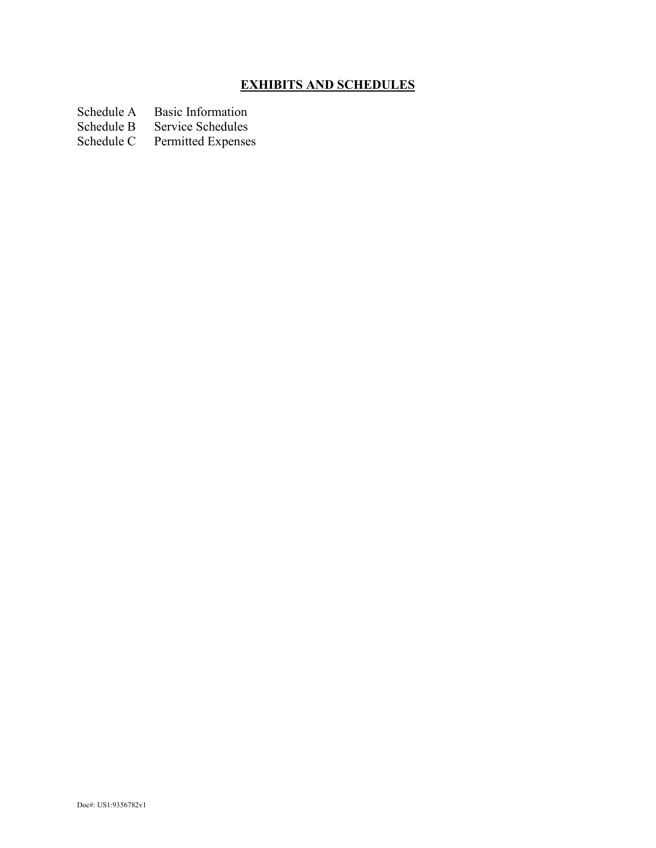# **EXHIBITS AND SCHEDULES**

Schedule A Basic Information<br>Schedule B Service Schedules

Schedule B Service Schedules<br>Schedule C Permitted Expense

Permitted Expenses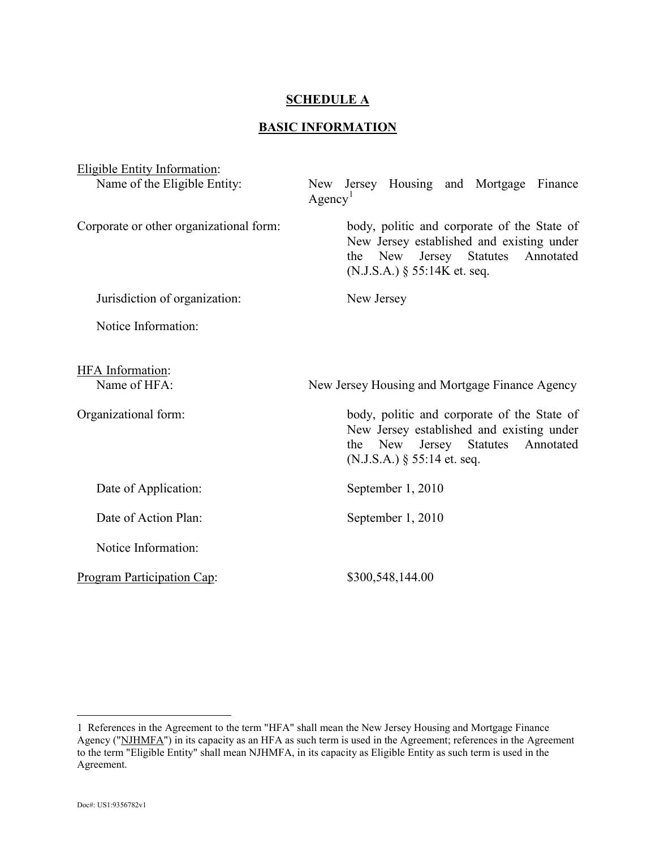### **SCHEDULE A**

## **BASIC INFORMATION**

| <b>Eligible Entity Information:</b>     |                                                                                                                                                                    |  |
|-----------------------------------------|--------------------------------------------------------------------------------------------------------------------------------------------------------------------|--|
| Name of the Eligible Entity:            | Jersey Housing and Mortgage<br>Finance<br>New<br>Agency <sup>1</sup>                                                                                               |  |
| Corporate or other organizational form: | body, politic and corporate of the State of<br>New Jersey established and existing under<br>the New Jersey Statutes<br>Annotated<br>$(N.J.S.A.)$ § 55:14K et. seq. |  |
| Jurisdiction of organization:           | New Jersey                                                                                                                                                         |  |
| Notice Information:                     |                                                                                                                                                                    |  |
| <b>HFA</b> Information:<br>Name of HFA: | New Jersey Housing and Mortgage Finance Agency                                                                                                                     |  |
|                                         |                                                                                                                                                                    |  |
| Organizational form:                    | body, politic and corporate of the State of<br>New Jersey established and existing under<br>the New Jersey Statutes<br>Annotated<br>$(N.J.S.A.)$ § 55:14 et. seq.  |  |
| Date of Application:                    | September 1, 2010                                                                                                                                                  |  |
| Date of Action Plan:                    | September 1, 2010                                                                                                                                                  |  |
| Notice Information:                     |                                                                                                                                                                    |  |
| Program Participation Cap:              | \$300,548,144.00                                                                                                                                                   |  |

 $\overline{a}$ 

<span id="page-5-0"></span><sup>1</sup> References in the Agreement to the term "HFA" shall mean the New Jersey Housing and Mortgage Finance Agency ("NJHMFA") in its capacity as an HFA as such term is used in the Agreement; references in the Agreement to the term "Eligible Entity" shall mean NJHMFA, in its capacity as Eligible Entity as such term is used in the Agreement.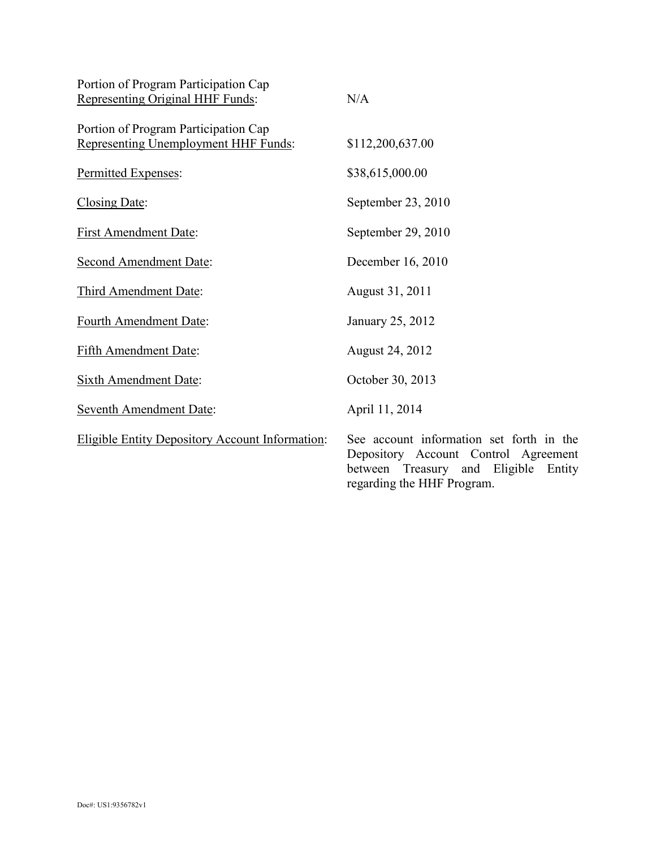| Portion of Program Participation Cap<br>Representing Original HHF Funds:     | N/A                                                                                                                               |
|------------------------------------------------------------------------------|-----------------------------------------------------------------------------------------------------------------------------------|
| Portion of Program Participation Cap<br>Representing Unemployment HHF Funds: | \$112,200,637.00                                                                                                                  |
| Permitted Expenses:                                                          | \$38,615,000.00                                                                                                                   |
| Closing Date:                                                                | September 23, 2010                                                                                                                |
| <b>First Amendment Date:</b>                                                 | September 29, 2010                                                                                                                |
| <b>Second Amendment Date:</b>                                                | December 16, 2010                                                                                                                 |
| Third Amendment Date:                                                        | August 31, 2011                                                                                                                   |
| Fourth Amendment Date:                                                       | January 25, 2012                                                                                                                  |
| <b>Fifth Amendment Date:</b>                                                 | <b>August 24, 2012</b>                                                                                                            |
| <b>Sixth Amendment Date:</b>                                                 | October 30, 2013                                                                                                                  |
| Seventh Amendment Date:                                                      | April 11, 2014                                                                                                                    |
| <b>Eligible Entity Depository Account Information:</b>                       | See account information set forth in the<br>Depository Account Control Agreement<br>Eligible<br>between Treasury<br>and<br>Entity |

regarding the HHF Program.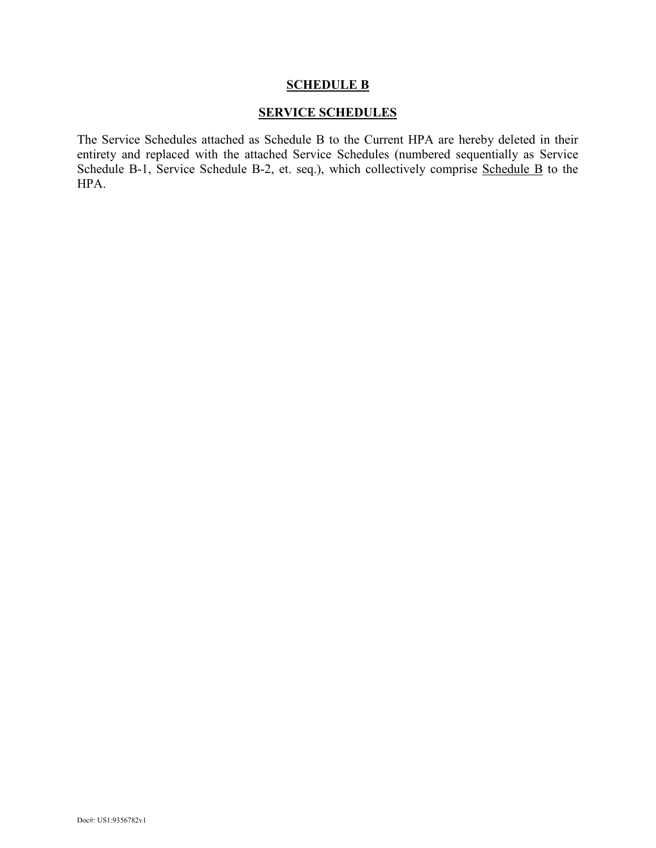#### **SCHEDULE B**

## **SERVICE SCHEDULES**

The Service Schedules attached as Schedule B to the Current HPA are hereby deleted in their entirety and replaced with the attached Service Schedules (numbered sequentially as Service Schedule B-1, Service Schedule B-2, et. seq.), which collectively comprise Schedule B to the HPA.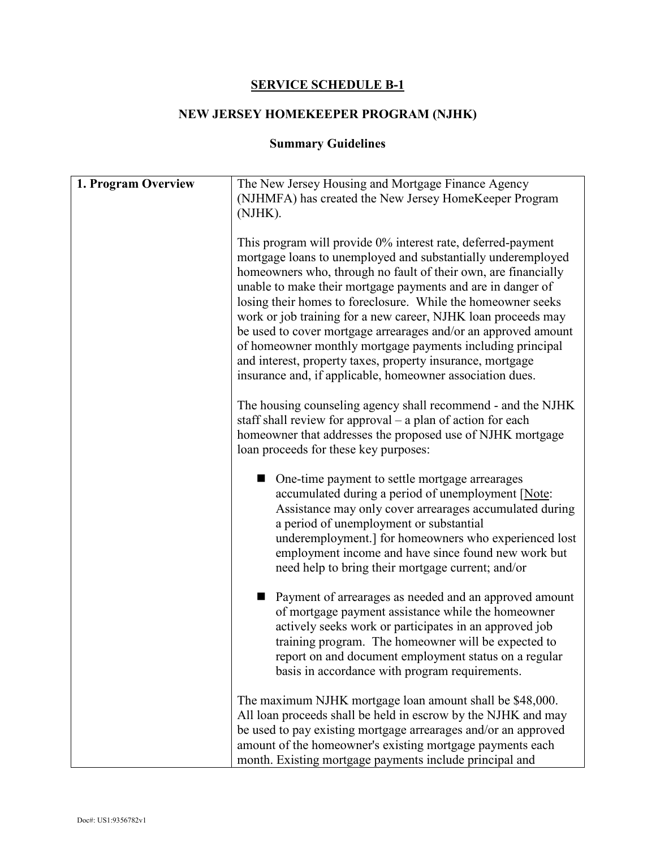## **SERVICE SCHEDULE B-1**

# **NEW JERSEY HOMEKEEPER PROGRAM (NJHK)**

# **Summary Guidelines**

| 1. Program Overview | The New Jersey Housing and Mortgage Finance Agency<br>(NJHMFA) has created the New Jersey HomeKeeper Program<br>(NJHK).                                                                                                                                                                                                                                                                                                                                                                                                                                                                                                                                   |
|---------------------|-----------------------------------------------------------------------------------------------------------------------------------------------------------------------------------------------------------------------------------------------------------------------------------------------------------------------------------------------------------------------------------------------------------------------------------------------------------------------------------------------------------------------------------------------------------------------------------------------------------------------------------------------------------|
|                     | This program will provide 0% interest rate, deferred-payment<br>mortgage loans to unemployed and substantially underemployed<br>homeowners who, through no fault of their own, are financially<br>unable to make their mortgage payments and are in danger of<br>losing their homes to foreclosure. While the homeowner seeks<br>work or job training for a new career, NJHK loan proceeds may<br>be used to cover mortgage arrearages and/or an approved amount<br>of homeowner monthly mortgage payments including principal<br>and interest, property taxes, property insurance, mortgage<br>insurance and, if applicable, homeowner association dues. |
|                     | The housing counseling agency shall recommend - and the NJHK<br>staff shall review for approval $-$ a plan of action for each<br>homeowner that addresses the proposed use of NJHK mortgage<br>loan proceeds for these key purposes:                                                                                                                                                                                                                                                                                                                                                                                                                      |
|                     | One-time payment to settle mortgage arrearages<br>accumulated during a period of unemployment [Note:<br>Assistance may only cover arrearages accumulated during<br>a period of unemployment or substantial<br>underemployment.] for homeowners who experienced lost<br>employment income and have since found new work but<br>need help to bring their mortgage current; and/or                                                                                                                                                                                                                                                                           |
|                     | Payment of arrearages as needed and an approved amount<br>of mortgage payment assistance while the homeowner<br>actively seeks work or participates in an approved job<br>training program. The homeowner will be expected to<br>report on and document employment status on a regular<br>basis in accordance with program requirements.                                                                                                                                                                                                                                                                                                                  |
|                     | The maximum NJHK mortgage loan amount shall be \$48,000.<br>All loan proceeds shall be held in escrow by the NJHK and may<br>be used to pay existing mortgage arrearages and/or an approved<br>amount of the homeowner's existing mortgage payments each<br>month. Existing mortgage payments include principal and                                                                                                                                                                                                                                                                                                                                       |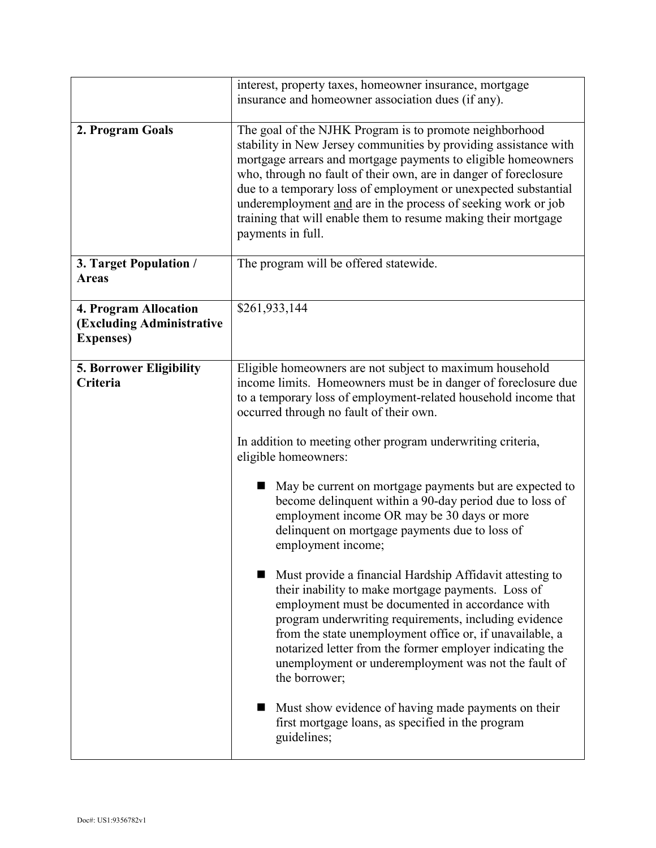|                                                                         | interest, property taxes, homeowner insurance, mortgage<br>insurance and homeowner association dues (if any).                                                                                                                                                                                                                                                                                                                                                                                                                                                                                                                                                                                                                                                                                                                                                                                                                                                                                                                                                                                                                           |
|-------------------------------------------------------------------------|-----------------------------------------------------------------------------------------------------------------------------------------------------------------------------------------------------------------------------------------------------------------------------------------------------------------------------------------------------------------------------------------------------------------------------------------------------------------------------------------------------------------------------------------------------------------------------------------------------------------------------------------------------------------------------------------------------------------------------------------------------------------------------------------------------------------------------------------------------------------------------------------------------------------------------------------------------------------------------------------------------------------------------------------------------------------------------------------------------------------------------------------|
| 2. Program Goals                                                        | The goal of the NJHK Program is to promote neighborhood<br>stability in New Jersey communities by providing assistance with<br>mortgage arrears and mortgage payments to eligible homeowners<br>who, through no fault of their own, are in danger of foreclosure<br>due to a temporary loss of employment or unexpected substantial<br>underemployment and are in the process of seeking work or job<br>training that will enable them to resume making their mortgage<br>payments in full.                                                                                                                                                                                                                                                                                                                                                                                                                                                                                                                                                                                                                                             |
| 3. Target Population /<br><b>Areas</b>                                  | The program will be offered statewide.                                                                                                                                                                                                                                                                                                                                                                                                                                                                                                                                                                                                                                                                                                                                                                                                                                                                                                                                                                                                                                                                                                  |
| 4. Program Allocation<br>(Excluding Administrative<br><b>Expenses</b> ) | \$261,933,144                                                                                                                                                                                                                                                                                                                                                                                                                                                                                                                                                                                                                                                                                                                                                                                                                                                                                                                                                                                                                                                                                                                           |
| <b>5. Borrower Eligibility</b><br>Criteria                              | Eligible homeowners are not subject to maximum household<br>income limits. Homeowners must be in danger of foreclosure due<br>to a temporary loss of employment-related household income that<br>occurred through no fault of their own.<br>In addition to meeting other program underwriting criteria,<br>eligible homeowners:<br>May be current on mortgage payments but are expected to<br>become delinquent within a 90-day period due to loss of<br>employment income OR may be 30 days or more<br>delinquent on mortgage payments due to loss of<br>employment income;<br>Must provide a financial Hardship Affidavit attesting to<br>their inability to make mortgage payments. Loss of<br>employment must be documented in accordance with<br>program underwriting requirements, including evidence<br>from the state unemployment office or, if unavailable, a<br>notarized letter from the former employer indicating the<br>unemployment or underemployment was not the fault of<br>the borrower;<br>Must show evidence of having made payments on their<br>first mortgage loans, as specified in the program<br>guidelines; |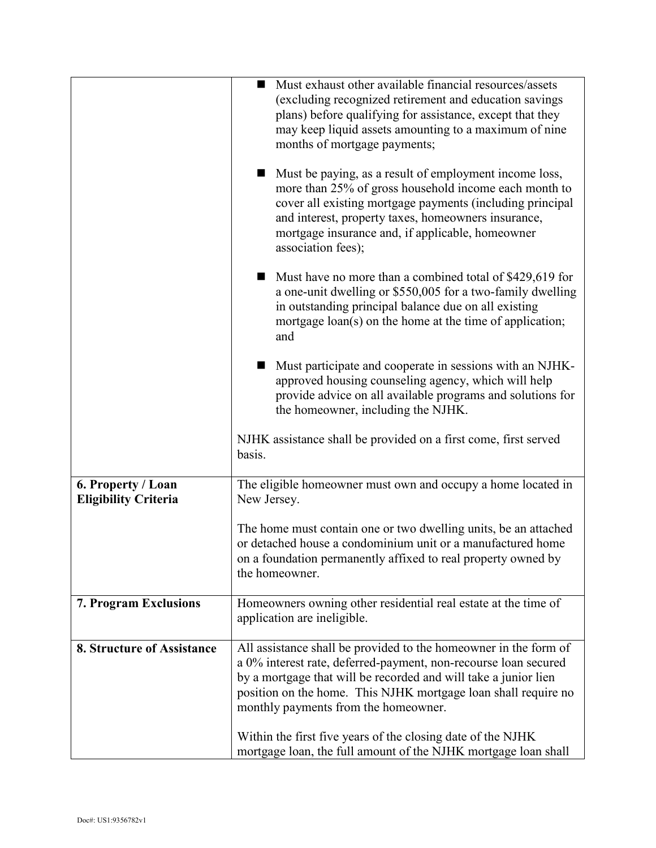|                                                   | Must exhaust other available financial resources/assets<br>(excluding recognized retirement and education savings<br>plans) before qualifying for assistance, except that they                                                                                                                                   |
|---------------------------------------------------|------------------------------------------------------------------------------------------------------------------------------------------------------------------------------------------------------------------------------------------------------------------------------------------------------------------|
|                                                   | may keep liquid assets amounting to a maximum of nine<br>months of mortgage payments;                                                                                                                                                                                                                            |
|                                                   | Must be paying, as a result of employment income loss,<br>more than 25% of gross household income each month to<br>cover all existing mortgage payments (including principal<br>and interest, property taxes, homeowners insurance,<br>mortgage insurance and, if applicable, homeowner<br>association fees);    |
|                                                   | Must have no more than a combined total of \$429,619 for<br>a one-unit dwelling or \$550,005 for a two-family dwelling<br>in outstanding principal balance due on all existing<br>mortgage loan(s) on the home at the time of application;<br>and                                                                |
|                                                   | Must participate and cooperate in sessions with an NJHK-<br>approved housing counseling agency, which will help<br>provide advice on all available programs and solutions for<br>the homeowner, including the NJHK.                                                                                              |
|                                                   | NJHK assistance shall be provided on a first come, first served<br>basis.                                                                                                                                                                                                                                        |
| 6. Property / Loan<br><b>Eligibility Criteria</b> | The eligible homeowner must own and occupy a home located in<br>New Jersey.                                                                                                                                                                                                                                      |
|                                                   | The home must contain one or two dwelling units, be an attached<br>or detached house a condominium unit or a manufactured home<br>on a foundation permanently affixed to real property owned by<br>the homeowner.                                                                                                |
| 7. Program Exclusions                             | Homeowners owning other residential real estate at the time of<br>application are ineligible.                                                                                                                                                                                                                    |
| 8. Structure of Assistance                        | All assistance shall be provided to the homeowner in the form of<br>a 0% interest rate, deferred-payment, non-recourse loan secured<br>by a mortgage that will be recorded and will take a junior lien<br>position on the home. This NJHK mortgage loan shall require no<br>monthly payments from the homeowner. |
|                                                   | Within the first five years of the closing date of the NJHK<br>mortgage loan, the full amount of the NJHK mortgage loan shall                                                                                                                                                                                    |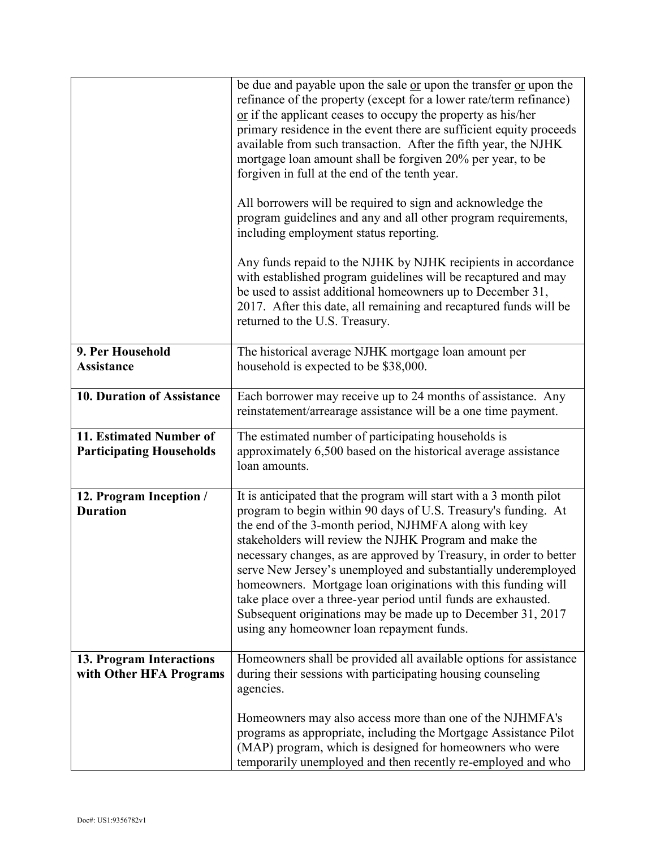|                                                            | be due and payable upon the sale or upon the transfer or upon the<br>refinance of the property (except for a lower rate/term refinance)<br>$\alpha$ if the applicant ceases to occupy the property as his/her<br>primary residence in the event there are sufficient equity proceeds<br>available from such transaction. After the fifth year, the NJHK<br>mortgage loan amount shall be forgiven 20% per year, to be<br>forgiven in full at the end of the tenth year.<br>All borrowers will be required to sign and acknowledge the<br>program guidelines and any and all other program requirements,<br>including employment status reporting. |
|------------------------------------------------------------|---------------------------------------------------------------------------------------------------------------------------------------------------------------------------------------------------------------------------------------------------------------------------------------------------------------------------------------------------------------------------------------------------------------------------------------------------------------------------------------------------------------------------------------------------------------------------------------------------------------------------------------------------|
|                                                            | Any funds repaid to the NJHK by NJHK recipients in accordance<br>with established program guidelines will be recaptured and may<br>be used to assist additional homeowners up to December 31,<br>2017. After this date, all remaining and recaptured funds will be<br>returned to the U.S. Treasury.                                                                                                                                                                                                                                                                                                                                              |
| 9. Per Household<br><b>Assistance</b>                      | The historical average NJHK mortgage loan amount per<br>household is expected to be \$38,000.                                                                                                                                                                                                                                                                                                                                                                                                                                                                                                                                                     |
| 10. Duration of Assistance                                 | Each borrower may receive up to 24 months of assistance. Any<br>reinstatement/arrearage assistance will be a one time payment.                                                                                                                                                                                                                                                                                                                                                                                                                                                                                                                    |
| 11. Estimated Number of<br><b>Participating Households</b> | The estimated number of participating households is<br>approximately 6,500 based on the historical average assistance<br>loan amounts.                                                                                                                                                                                                                                                                                                                                                                                                                                                                                                            |
| 12. Program Inception /<br><b>Duration</b>                 | It is anticipated that the program will start with a 3 month pilot<br>program to begin within 90 days of U.S. Treasury's funding. At<br>the end of the 3-month period, NJHMFA along with key<br>stakeholders will review the NJHK Program and make the<br>necessary changes, as are approved by Treasury, in order to better<br>serve New Jersey's unemployed and substantially underemployed<br>homeowners. Mortgage loan originations with this funding will<br>take place over a three-year period until funds are exhausted.<br>Subsequent originations may be made up to December 31, 2017<br>using any homeowner loan repayment funds.      |
| 13. Program Interactions<br>with Other HFA Programs        | Homeowners shall be provided all available options for assistance<br>during their sessions with participating housing counseling<br>agencies.                                                                                                                                                                                                                                                                                                                                                                                                                                                                                                     |
|                                                            | Homeowners may also access more than one of the NJHMFA's<br>programs as appropriate, including the Mortgage Assistance Pilot<br>(MAP) program, which is designed for homeowners who were<br>temporarily unemployed and then recently re-employed and who                                                                                                                                                                                                                                                                                                                                                                                          |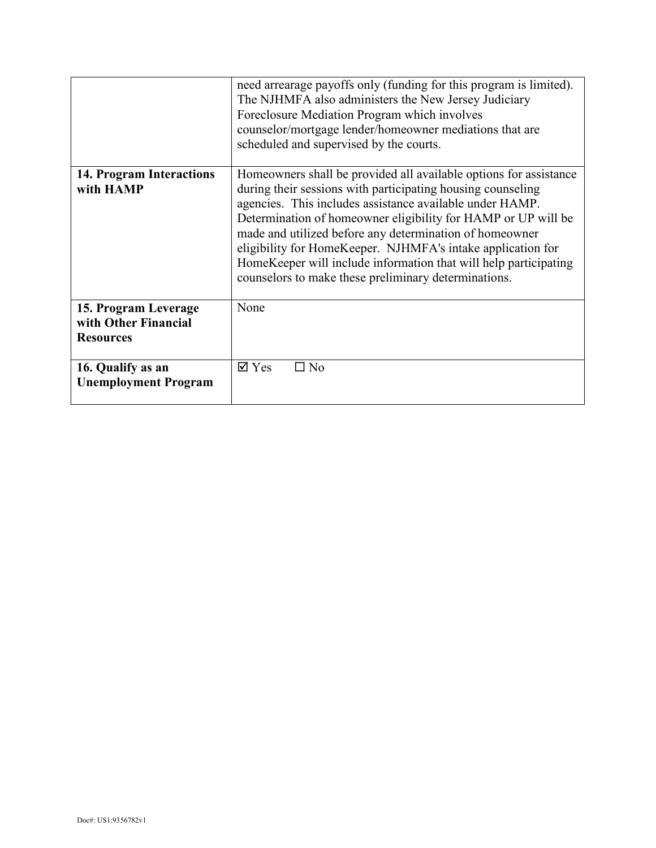|                                                                  | need arrearage payoffs only (funding for this program is limited).<br>The NJHMFA also administers the New Jersey Judiciary<br>Foreclosure Mediation Program which involves<br>counselor/mortgage lender/homeowner mediations that are<br>scheduled and supervised by the courts.                                                                                                                                                                                                                                    |
|------------------------------------------------------------------|---------------------------------------------------------------------------------------------------------------------------------------------------------------------------------------------------------------------------------------------------------------------------------------------------------------------------------------------------------------------------------------------------------------------------------------------------------------------------------------------------------------------|
| <b>14. Program Interactions</b><br>with HAMP                     | Homeowners shall be provided all available options for assistance<br>during their sessions with participating housing counseling<br>agencies. This includes assistance available under HAMP.<br>Determination of homeowner eligibility for HAMP or UP will be<br>made and utilized before any determination of homeowner<br>eligibility for HomeKeeper. NJHMFA's intake application for<br>HomeKeeper will include information that will help participating<br>counselors to make these preliminary determinations. |
| 15. Program Leverage<br>with Other Financial<br><b>Resources</b> | None                                                                                                                                                                                                                                                                                                                                                                                                                                                                                                                |
| 16. Qualify as an<br><b>Unemployment Program</b>                 | $\boxtimes$ Yes<br>$\Box$ No                                                                                                                                                                                                                                                                                                                                                                                                                                                                                        |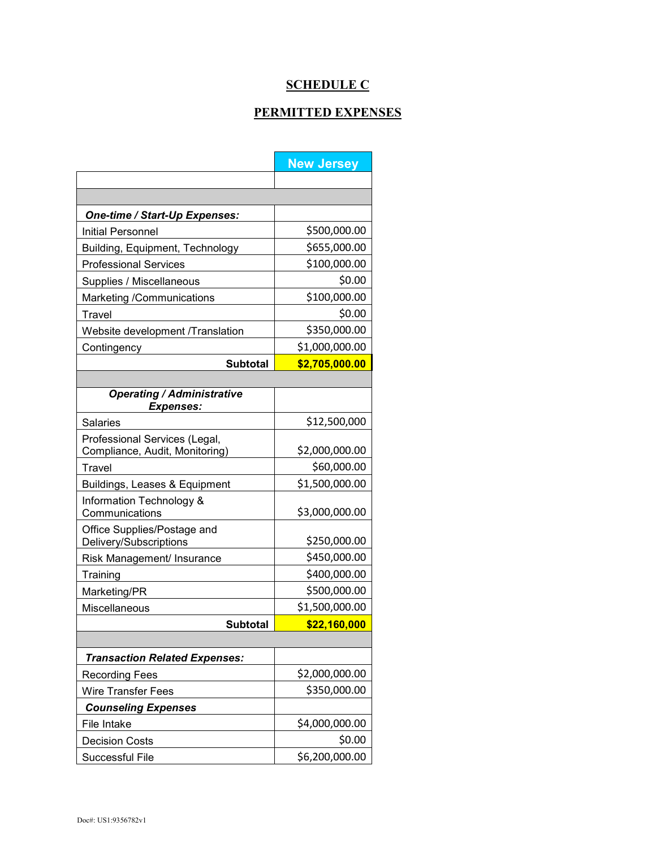# **SCHEDULE C**

## **PERMITTED EXPENSES**

|                                                                 | <b>New Jersey</b> |
|-----------------------------------------------------------------|-------------------|
|                                                                 |                   |
|                                                                 |                   |
| One-time / Start-Up Expenses:                                   |                   |
| Initial Personnel                                               | \$500,000.00      |
| Building, Equipment, Technology                                 | \$655,000.00      |
| <b>Professional Services</b>                                    | \$100,000.00      |
| Supplies / Miscellaneous                                        | \$0.00            |
| Marketing /Communications                                       | \$100,000.00      |
| Travel                                                          | \$0.00            |
| Website development /Translation                                | \$350,000.00      |
| Contingency                                                     | \$1,000,000.00    |
| <b>Subtotal</b>                                                 | \$2,705,000.00    |
|                                                                 |                   |
| <b>Operating / Administrative</b><br><b>Expenses:</b>           |                   |
| <b>Salaries</b>                                                 | \$12,500,000      |
| Professional Services (Legal,<br>Compliance, Audit, Monitoring) | \$2,000,000.00    |
| Travel                                                          | \$60,000.00       |
| Buildings, Leases & Equipment                                   | \$1,500,000.00    |
| Information Technology &<br>Communications                      | \$3,000,000.00    |
| Office Supplies/Postage and                                     |                   |
| Delivery/Subscriptions                                          | \$250,000.00      |
| Risk Management/ Insurance                                      | \$450,000.00      |
| Training                                                        | \$400,000.00      |
| Marketing/PR                                                    | \$500,000.00      |
| Miscellaneous                                                   | \$1,500,000.00    |
| <b>Subtotal</b>                                                 | \$22,160,000      |
|                                                                 |                   |
| <b>Transaction Related Expenses:</b>                            |                   |
| <b>Recording Fees</b>                                           | \$2,000,000.00    |
| Wire Transfer Fees                                              | \$350,000.00      |
| <b>Counseling Expenses</b>                                      |                   |
| File Intake                                                     | \$4,000,000.00    |
| <b>Decision Costs</b>                                           | \$0.00            |
| Successful File                                                 | \$6,200,000.00    |